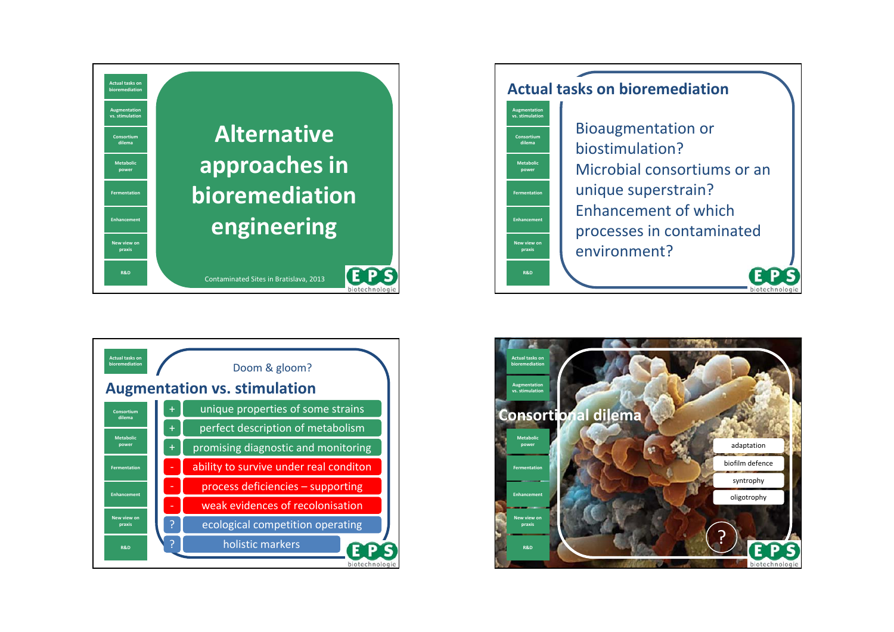





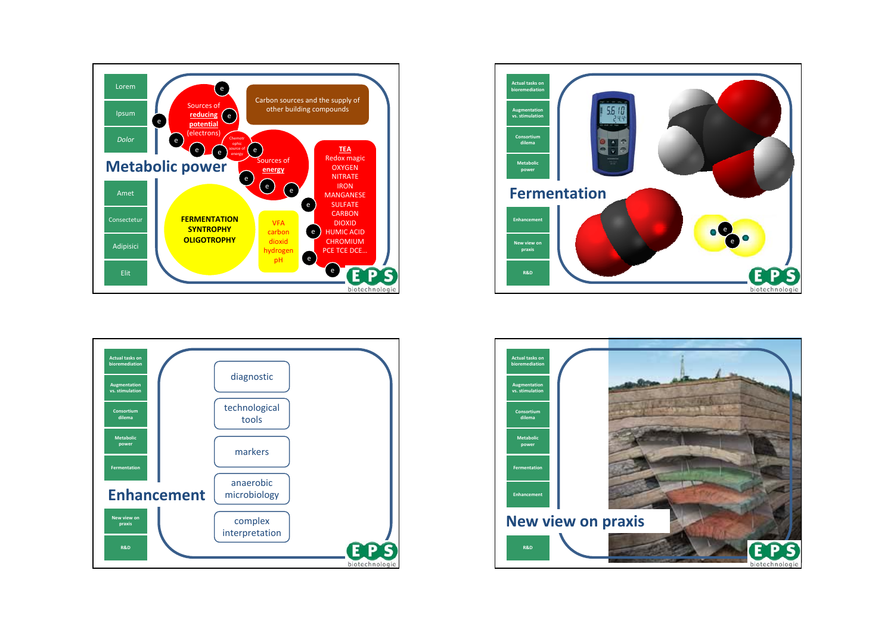